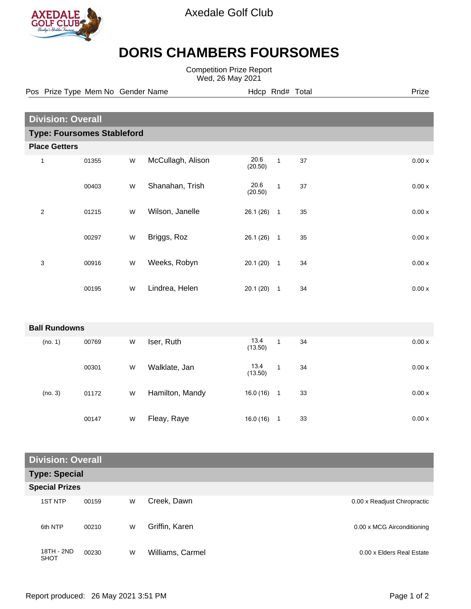

Axedale Golf Club

## **DORIS CHAMBERS FOURSOMES**

Competition Prize Report Wed, 26 May 2021

Pos Prize Type Mem No Gender Name **Hdcp Rnd# Total** Prize Prize

| <b>Division: Overall</b>          |                      |       |   |                   |                 |                          |    |        |  |  |  |  |
|-----------------------------------|----------------------|-------|---|-------------------|-----------------|--------------------------|----|--------|--|--|--|--|
| <b>Type: Foursomes Stableford</b> |                      |       |   |                   |                 |                          |    |        |  |  |  |  |
| <b>Place Getters</b>              |                      |       |   |                   |                 |                          |    |        |  |  |  |  |
| $\mathbf{1}$                      |                      | 01355 | W | McCullagh, Alison | 20.6<br>(20.50) | $\mathbf{1}$             | 37 | 0.00 x |  |  |  |  |
|                                   |                      | 00403 | W | Shanahan, Trish   | 20.6<br>(20.50) | $\mathbf{1}$             | 37 | 0.00x  |  |  |  |  |
| $\overline{2}$                    |                      | 01215 | W | Wilson, Janelle   | 26.1(26)        | $\overline{\phantom{1}}$ | 35 | 0.00 x |  |  |  |  |
|                                   |                      | 00297 | W | Briggs, Roz       | $26.1(26)$ 1    |                          | 35 | 0.00x  |  |  |  |  |
| $\sqrt{3}$                        |                      | 00916 | W | Weeks, Robyn      | $20.1(20)$ 1    |                          | 34 | 0.00 x |  |  |  |  |
|                                   |                      | 00195 | W | Lindrea, Helen    | $20.1(20)$ 1    |                          | 34 | 0.00x  |  |  |  |  |
|                                   |                      |       |   |                   |                 |                          |    |        |  |  |  |  |
|                                   | <b>Ball Rundowns</b> |       |   |                   |                 |                          |    |        |  |  |  |  |
|                                   | (no. 1)              | 00769 | W | Iser, Ruth        | 13.4<br>(13.50) | $\mathbf{1}$             | 34 | 0.00x  |  |  |  |  |
|                                   |                      | 00301 | W | Walklate, Jan     | 13.4<br>(13.50) | $\mathbf{1}$             | 34 | 0.00 x |  |  |  |  |
|                                   | (no. 3)              | 01172 | W | Hamilton, Mandy   | $16.0(16)$ 1    |                          | 33 | 0.00x  |  |  |  |  |
|                                   |                      | 00147 | W | Fleay, Raye       | $16.0(16)$ 1    |                          | 33 | 0.00 x |  |  |  |  |

## **Division: Overall**

| <b>Type: Special</b>  |                           |       |   |                  |                              |  |  |  |  |  |
|-----------------------|---------------------------|-------|---|------------------|------------------------------|--|--|--|--|--|
| <b>Special Prizes</b> |                           |       |   |                  |                              |  |  |  |  |  |
|                       | <b>1ST NTP</b>            | 00159 | W | Creek, Dawn      | 0.00 x Readjust Chiropractic |  |  |  |  |  |
|                       | 6th NTP                   | 00210 | W | Griffin, Karen   | 0.00 x MCG Airconditioning   |  |  |  |  |  |
|                       | 18TH - 2ND<br><b>SHOT</b> | 00230 | W | Williams, Carmel | 0.00 x Elders Real Estate    |  |  |  |  |  |